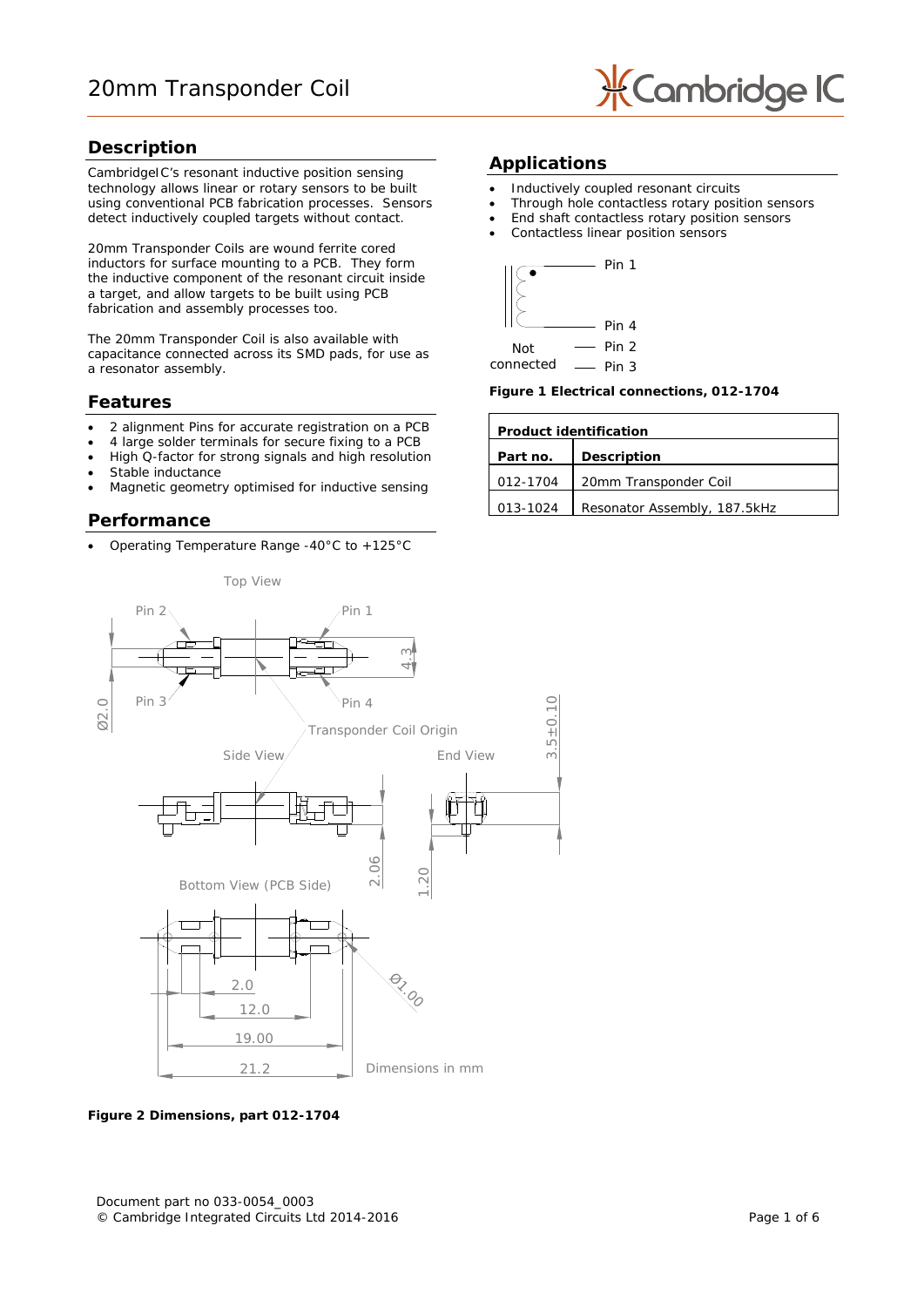

### **Description**

CambridgeIC's resonant inductive position sensing technology allows linear or rotary sensors to be built using conventional PCB fabrication processes. Sensors detect inductively coupled targets without contact.

20mm Transponder Coils are wound ferrite cored inductors for surface mounting to a PCB. They form the inductive component of the resonant circuit inside a target, and allow targets to be built using PCB fabrication and assembly processes too.

The 20mm Transponder Coil is also available with capacitance connected across its SMD pads, for use as a resonator assembly.

### **Features**

- 2 alignment Pins for accurate registration on a PCB
- 4 large solder terminals for secure fixing to a PCB
- High Q-factor for strong signals and high resolution
- Stable inductance
- Magnetic geometry optimised for inductive sensing

### **Performance**

• Operating Temperature Range -40°C to +125°C

### **Applications**

- Inductively coupled resonant circuits
- Through hole contactless rotary position sensors
- End shaft contactless rotary position sensors
- Contactless linear position sensors



Pin 3 connected

**Figure 1 Electrical connections, 012-1704**

| <b>Product identification</b>  |                              |  |
|--------------------------------|------------------------------|--|
| <b>Description</b><br>Part no. |                              |  |
| 012-1704                       | 20mm Transponder Coil        |  |
| 013-1024                       | Resonator Assembly, 187.5kHz |  |



**Figure 2 Dimensions, part 012-1704**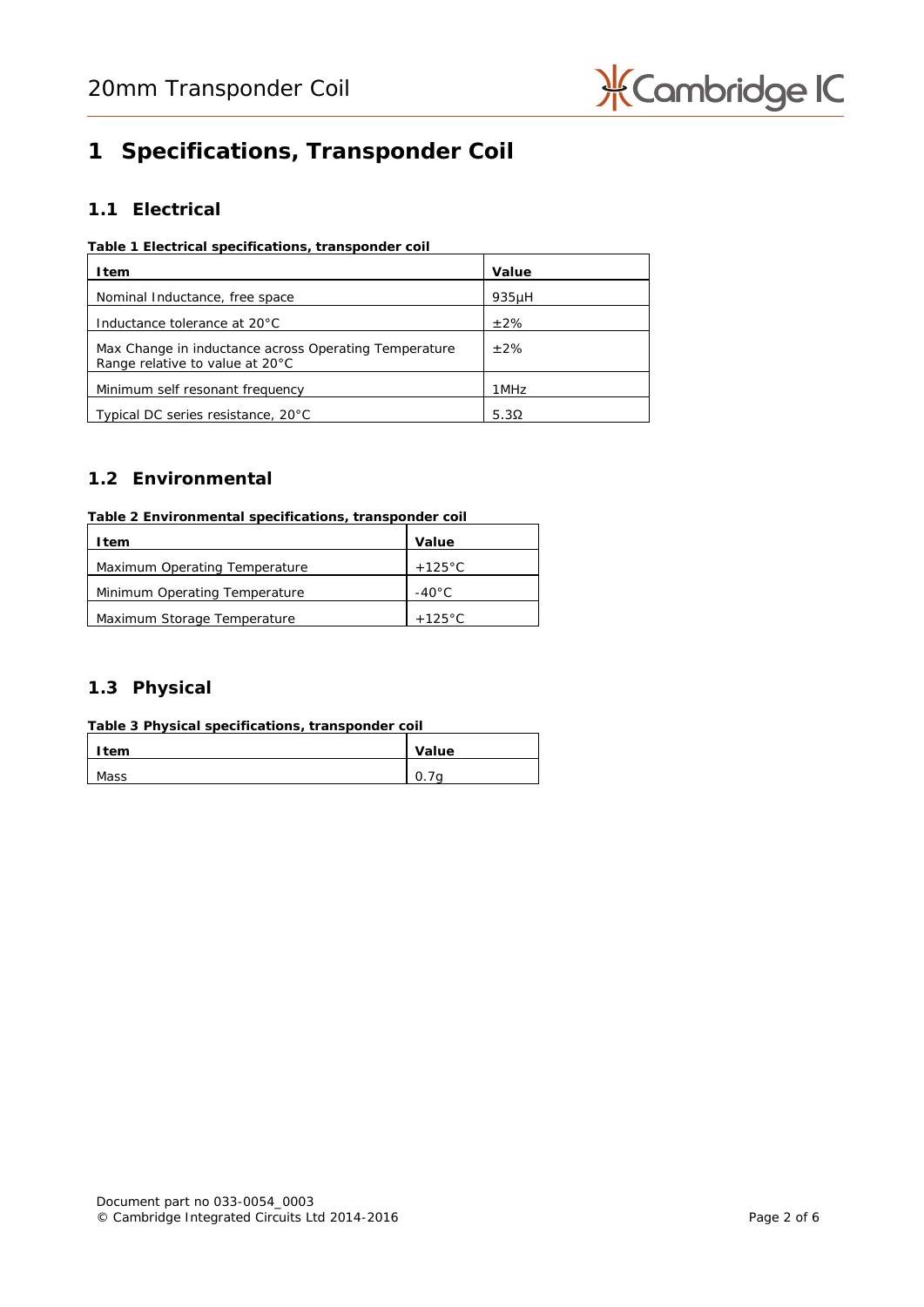

# **1 Specifications, Transponder Coil**

## **1.1 Electrical**

#### **Table 1 Electrical specifications, transponder coil**

| Item                                                                                     | Value        |
|------------------------------------------------------------------------------------------|--------------|
| Nominal Inductance, free space                                                           | $935\mu$ H   |
| Inductance tolerance at 20°C                                                             | $+2\%$       |
| Max Change in inductance across Operating Temperature<br>Range relative to value at 20°C | $+2%$        |
| Minimum self resonant frequency                                                          | 1MHz         |
| Typical DC series resistance, 20°C                                                       | 5.3 $\Omega$ |

## **1.2 Environmental**

#### **Table 2 Environmental specifications, transponder coil**

| ltem                          | Value            |
|-------------------------------|------------------|
| Maximum Operating Temperature | $+125^{\circ}$ C |
| Minimum Operating Temperature | $-40^{\circ}$ C  |
| Maximum Storage Temperature   | $+125\degree C$  |

# **1.3 Physical**

| Table 3 Physical specifications, transponder coil |       |
|---------------------------------------------------|-------|
| Item                                              | Value |
| Mass                                              |       |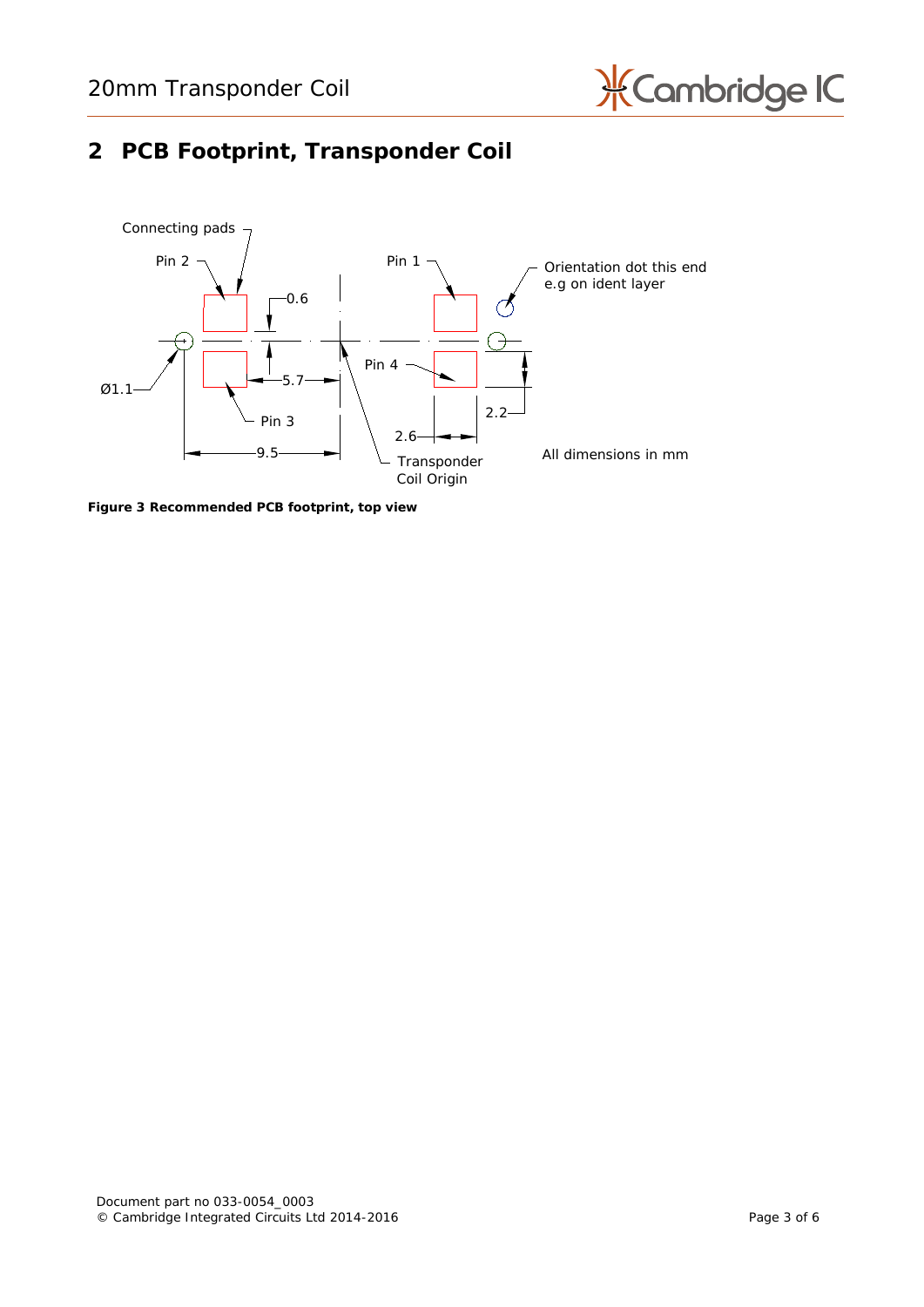

# **2 PCB Footprint, Transponder Coil**



**Figure 3 Recommended PCB footprint, top view**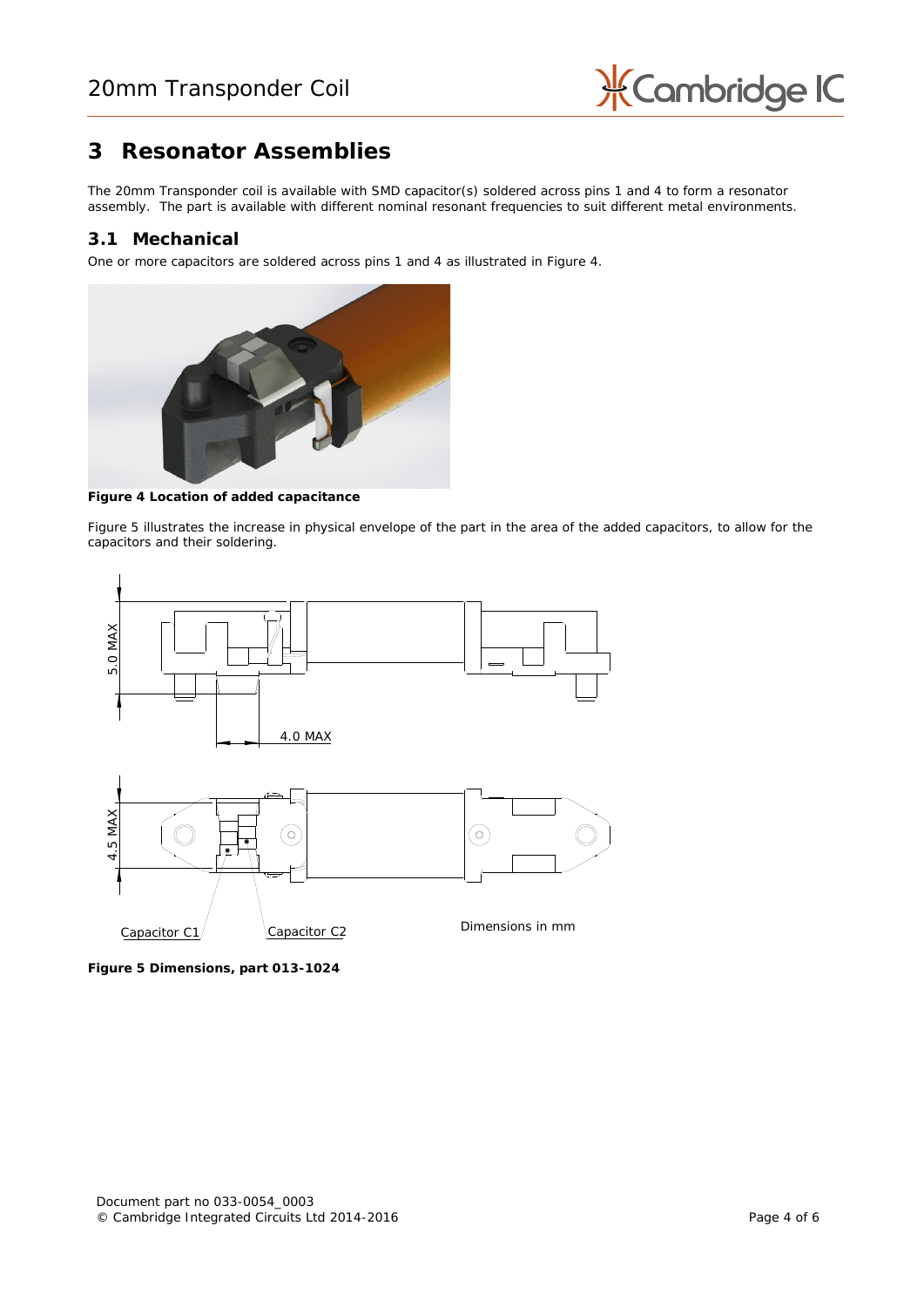

# **3 Resonator Assemblies**

The 20mm Transponder coil is available with SMD capacitor(s) soldered across pins 1 and 4 to form a resonator assembly. The part is available with different nominal resonant frequencies to suit different metal environments.

### **3.1 Mechanical**

One or more capacitors are soldered across pins 1 and 4 as illustrated in [Figure 4.](#page-3-0)



**Figure 4 Location of added capacitance**

<span id="page-3-0"></span>[Figure 5](#page-3-1) illustrates the increase in physical envelope of the part in the area of the added capacitors, to allow for the capacitors and their soldering.



<span id="page-3-1"></span>**Figure 5 Dimensions, part 013-1024**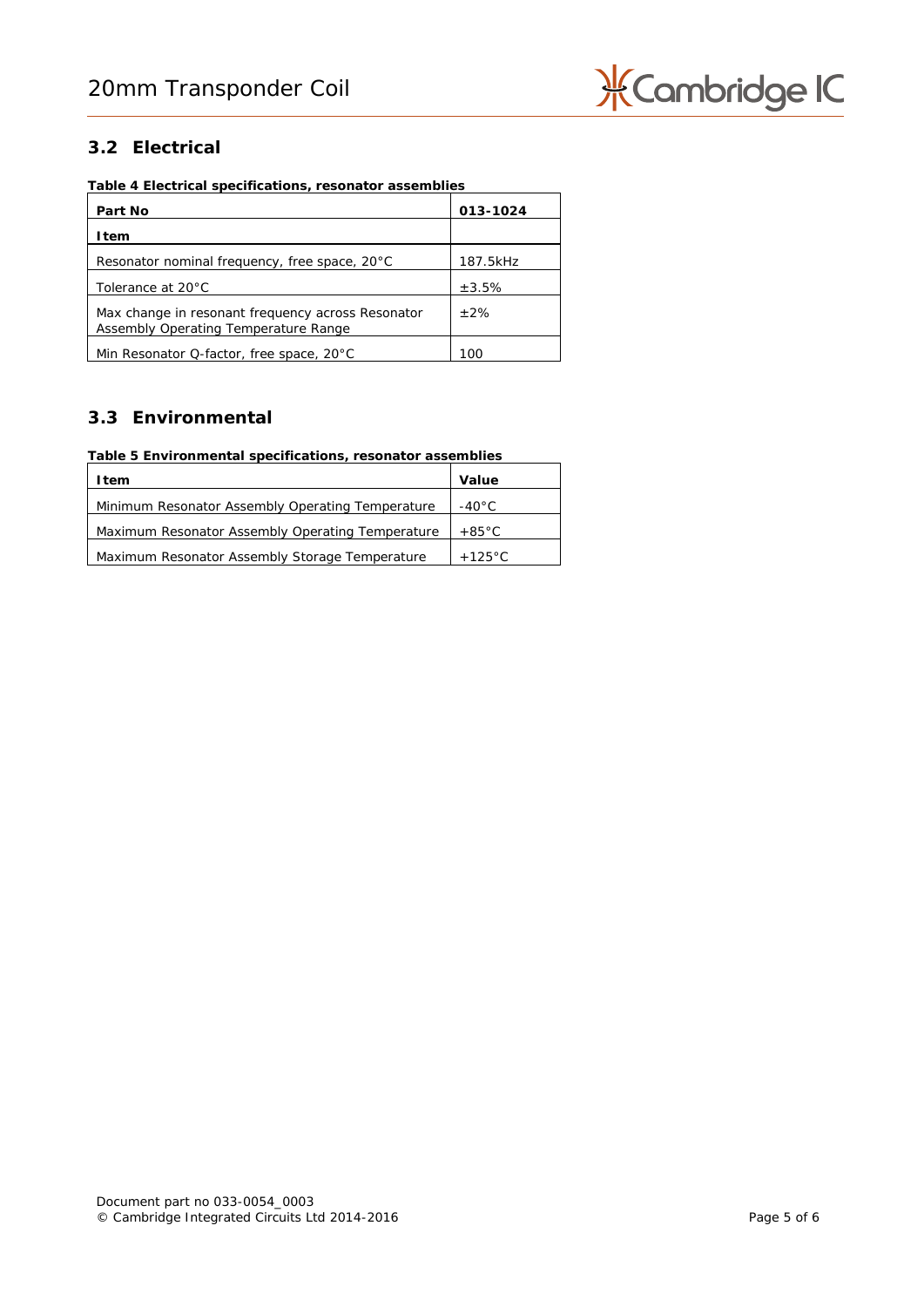

# **3.2 Electrical**

**Table 4 Electrical specifications, resonator assemblies**

| Part No                                                                                   | 013-1024 |
|-------------------------------------------------------------------------------------------|----------|
| ltem                                                                                      |          |
| Resonator nominal frequency, free space, 20°C                                             | 187.5kHz |
| Tolerance at 20°C                                                                         | ±3.5%    |
| Max change in resonant frequency across Resonator<br>Assembly Operating Temperature Range | $+2%$    |
| Min Resonator Q-factor, free space, 20°C                                                  | 100      |

## **3.3 Environmental**

## **Table 5 Environmental specifications, resonator assemblies**

| l tem                                            | Value            |
|--------------------------------------------------|------------------|
| Minimum Resonator Assembly Operating Temperature | $-40^{\circ}$ C  |
| Maximum Resonator Assembly Operating Temperature | $+85^{\circ}$ C  |
| Maximum Resonator Assembly Storage Temperature   | $+125^{\circ}$ C |